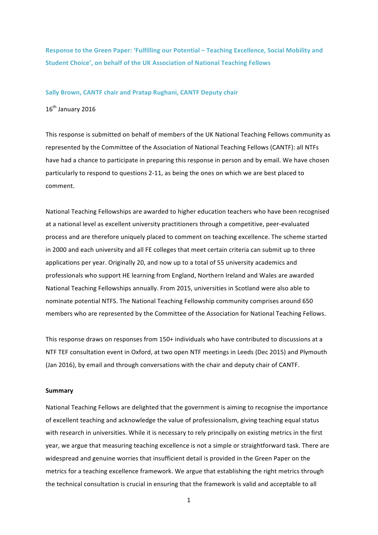**Response to the Green Paper: 'Fulfilling our Potential – Teaching Excellence, Social Mobility and Student Choice', on behalf of the UK Association of National Teaching Fellows** 

#### **Sally Brown, CANTF chair and Pratap Rughani, CANTF Deputy chair**

16<sup>th</sup> January 2016

This response is submitted on behalf of members of the UK National Teaching Fellows community as represented by the Committee of the Association of National Teaching Fellows (CANTF): all NTFs have had a chance to participate in preparing this response in person and by email. We have chosen particularly to respond to questions 2-11, as being the ones on which we are best placed to comment.

National Teaching Fellowships are awarded to higher education teachers who have been recognised at a national level as excellent university practitioners through a competitive, peer-evaluated process and are therefore uniquely placed to comment on teaching excellence. The scheme started in 2000 and each university and all FE colleges that meet certain criteria can submit up to three applications per year. Originally 20, and now up to a total of 55 university academics and professionals who support HE learning from England, Northern Ireland and Wales are awarded National Teaching Fellowships annually. From 2015, universities in Scotland were also able to nominate potential NTFS. The National Teaching Fellowship community comprises around 650 members who are represented by the Committee of the Association for National Teaching Fellows.

This response draws on responses from 150+ individuals who have contributed to discussions at a NTF TEF consultation event in Oxford, at two open NTF meetings in Leeds (Dec 2015) and Plymouth (Jan 2016), by email and through conversations with the chair and deputy chair of CANTF.

#### **Summary**

National Teaching Fellows are delighted that the government is aiming to recognise the importance of excellent teaching and acknowledge the value of professionalism, giving teaching equal status with research in universities. While it is necessary to rely principally on existing metrics in the first year, we argue that measuring teaching excellence is not a simple or straightforward task. There are widespread and genuine worries that insufficient detail is provided in the Green Paper on the metrics for a teaching excellence framework. We argue that establishing the right metrics through the technical consultation is crucial in ensuring that the framework is valid and acceptable to all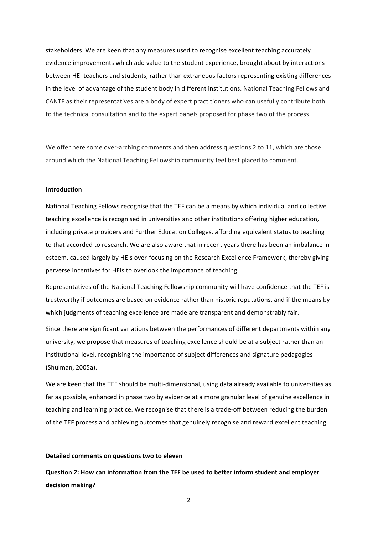stakeholders. We are keen that any measures used to recognise excellent teaching accurately evidence improvements which add value to the student experience, brought about by interactions between HEI teachers and students, rather than extraneous factors representing existing differences in the level of advantage of the student body in different institutions. National Teaching Fellows and CANTF as their representatives are a body of expert practitioners who can usefully contribute both to the technical consultation and to the expert panels proposed for phase two of the process.

We offer here some over-arching comments and then address questions 2 to 11, which are those around which the National Teaching Fellowship community feel best placed to comment.

#### **Introduction**

National Teaching Fellows recognise that the TEF can be a means by which individual and collective teaching excellence is recognised in universities and other institutions offering higher education, including private providers and Further Education Colleges, affording equivalent status to teaching to that accorded to research. We are also aware that in recent years there has been an imbalance in esteem, caused largely by HEIs over-focusing on the Research Excellence Framework, thereby giving perverse incentives for HEIs to overlook the importance of teaching.

Representatives of the National Teaching Fellowship community will have confidence that the TEF is trustworthy if outcomes are based on evidence rather than historic reputations, and if the means by which judgments of teaching excellence are made are transparent and demonstrably fair.

Since there are significant variations between the performances of different departments within any university, we propose that measures of teaching excellence should be at a subject rather than an institutional level, recognising the importance of subject differences and signature pedagogies (Shulman, 2005a).

We are keen that the TEF should be multi-dimensional, using data already available to universities as far as possible, enhanced in phase two by evidence at a more granular level of genuine excellence in teaching and learning practice. We recognise that there is a trade-off between reducing the burden of the TEF process and achieving outcomes that genuinely recognise and reward excellent teaching.

#### **Detailed comments on questions two to eleven**

**Question 2: How can information from the TEF be used to better inform student and employer decision making?**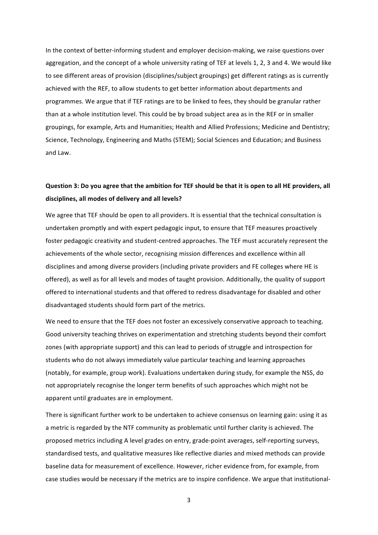In the context of better-informing student and employer decision-making, we raise questions over aggregation, and the concept of a whole university rating of TEF at levels 1, 2, 3 and 4. We would like to see different areas of provision (disciplines/subject groupings) get different ratings as is currently achieved with the REF, to allow students to get better information about departments and programmes. We argue that if TEF ratings are to be linked to fees, they should be granular rather than at a whole institution level. This could be by broad subject area as in the REF or in smaller groupings, for example, Arts and Humanities; Health and Allied Professions; Medicine and Dentistry; Science, Technology, Engineering and Maths (STEM); Social Sciences and Education; and Business and Law.

### **Question 3: Do you agree that the ambition for TEF should be that it is open to all HE providers, all** disciplines, all modes of delivery and all levels?

We agree that TEF should be open to all providers. It is essential that the technical consultation is undertaken promptly and with expert pedagogic input, to ensure that TEF measures proactively foster pedagogic creativity and student-centred approaches. The TEF must accurately represent the achievements of the whole sector, recognising mission differences and excellence within all disciplines and among diverse providers (including private providers and FE colleges where HE is offered), as well as for all levels and modes of taught provision. Additionally, the quality of support offered to international students and that offered to redress disadvantage for disabled and other disadvantaged students should form part of the metrics.

We need to ensure that the TEF does not foster an excessively conservative approach to teaching. Good university teaching thrives on experimentation and stretching students beyond their comfort zones (with appropriate support) and this can lead to periods of struggle and introspection for students who do not always immediately value particular teaching and learning approaches (notably, for example, group work). Evaluations undertaken during study, for example the NSS, do not appropriately recognise the longer term benefits of such approaches which might not be apparent until graduates are in employment.

There is significant further work to be undertaken to achieve consensus on learning gain: using it as a metric is regarded by the NTF community as problematic until further clarity is achieved. The proposed metrics including A level grades on entry, grade-point averages, self-reporting surveys, standardised tests, and qualitative measures like reflective diaries and mixed methods can provide baseline data for measurement of excellence. However, richer evidence from, for example, from case studies would be necessary if the metrics are to inspire confidence. We argue that institutional-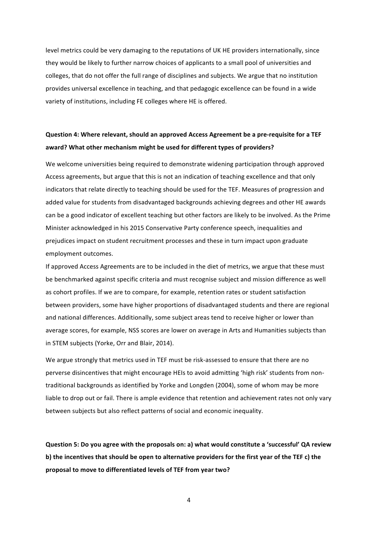level metrics could be very damaging to the reputations of UK HE providers internationally, since they would be likely to further narrow choices of applicants to a small pool of universities and colleges, that do not offer the full range of disciplines and subjects. We argue that no institution provides universal excellence in teaching, and that pedagogic excellence can be found in a wide variety of institutions, including FE colleges where HE is offered.

### **Question 4: Where relevant, should an approved Access Agreement be a pre-requisite for a TEF** award? What other mechanism might be used for different types of providers?

We welcome universities being required to demonstrate widening participation through approved Access agreements, but argue that this is not an indication of teaching excellence and that only indicators that relate directly to teaching should be used for the TEF. Measures of progression and added value for students from disadvantaged backgrounds achieving degrees and other HE awards can be a good indicator of excellent teaching but other factors are likely to be involved. As the Prime Minister acknowledged in his 2015 Conservative Party conference speech, inequalities and prejudices impact on student recruitment processes and these in turn impact upon graduate employment outcomes.

If approved Access Agreements are to be included in the diet of metrics, we argue that these must be benchmarked against specific criteria and must recognise subject and mission difference as well as cohort profiles. If we are to compare, for example, retention rates or student satisfaction between providers, some have higher proportions of disadvantaged students and there are regional and national differences. Additionally, some subject areas tend to receive higher or lower than average scores, for example, NSS scores are lower on average in Arts and Humanities subjects than in STEM subjects (Yorke, Orr and Blair, 2014).

We argue strongly that metrics used in TEF must be risk-assessed to ensure that there are no perverse disincentives that might encourage HEIs to avoid admitting 'high risk' students from nontraditional backgrounds as identified by Yorke and Longden (2004), some of whom may be more liable to drop out or fail. There is ample evidence that retention and achievement rates not only vary between subjects but also reflect patterns of social and economic inequality.

**Question 5: Do you agree with the proposals on: a) what would constitute a 'successful' QA review**  b) the incentives that should be open to alternative providers for the first year of the TEF c) the proposal to move to differentiated levels of TEF from year two?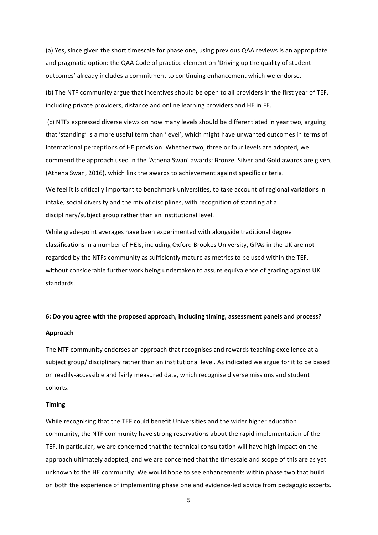(a) Yes, since given the short timescale for phase one, using previous QAA reviews is an appropriate and pragmatic option: the QAA Code of practice element on 'Driving up the quality of student outcomes' already includes a commitment to continuing enhancement which we endorse.

(b) The NTF community argue that incentives should be open to all providers in the first year of TEF, including private providers, distance and online learning providers and HE in FE.

(c) NTFs expressed diverse views on how many levels should be differentiated in year two, arguing that 'standing' is a more useful term than 'level', which might have unwanted outcomes in terms of international perceptions of HE provision. Whether two, three or four levels are adopted, we commend the approach used in the 'Athena Swan' awards: Bronze, Silver and Gold awards are given, (Athena Swan, 2016), which link the awards to achievement against specific criteria.

We feel it is critically important to benchmark universities, to take account of regional variations in intake, social diversity and the mix of disciplines, with recognition of standing at a disciplinary/subject group rather than an institutional level.

While grade-point averages have been experimented with alongside traditional degree classifications in a number of HEIs, including Oxford Brookes University, GPAs in the UK are not regarded by the NTFs community as sufficiently mature as metrics to be used within the TEF, without considerable further work being undertaken to assure equivalence of grading against UK standards.

### 6: Do you agree with the proposed approach, including timing, assessment panels and process?

#### **Approach**

The NTF community endorses an approach that recognises and rewards teaching excellence at a subject group/ disciplinary rather than an institutional level. As indicated we argue for it to be based on readily-accessible and fairly measured data, which recognise diverse missions and student cohorts.

#### **Timing**

While recognising that the TEF could benefit Universities and the wider higher education community, the NTF community have strong reservations about the rapid implementation of the TEF. In particular, we are concerned that the technical consultation will have high impact on the approach ultimately adopted, and we are concerned that the timescale and scope of this are as yet unknown to the HE community. We would hope to see enhancements within phase two that build on both the experience of implementing phase one and evidence-led advice from pedagogic experts.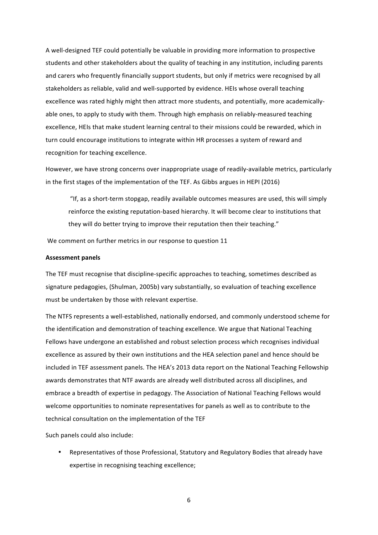A well-designed TEF could potentially be valuable in providing more information to prospective students and other stakeholders about the quality of teaching in any institution, including parents and carers who frequently financially support students, but only if metrics were recognised by all stakeholders as reliable, valid and well-supported by evidence. HEIs whose overall teaching excellence was rated highly might then attract more students, and potentially, more academicallyable ones, to apply to study with them. Through high emphasis on reliably-measured teaching excellence, HEIs that make student learning central to their missions could be rewarded, which in turn could encourage institutions to integrate within HR processes a system of reward and recognition for teaching excellence.

However, we have strong concerns over inappropriate usage of readily-available metrics, particularly in the first stages of the implementation of the TEF. As Gibbs argues in HEPI (2016)

"If, as a short-term stopgap, readily available outcomes measures are used, this will simply reinforce the existing reputation-based hierarchy. It will become clear to institutions that they will do better trying to improve their reputation then their teaching."

We comment on further metrics in our response to question 11

#### **Assessment panels**

The TEF must recognise that discipline-specific approaches to teaching, sometimes described as signature pedagogies, (Shulman, 2005b) vary substantially, so evaluation of teaching excellence must be undertaken by those with relevant expertise.

The NTFS represents a well-established, nationally endorsed, and commonly understood scheme for the identification and demonstration of teaching excellence. We argue that National Teaching Fellows have undergone an established and robust selection process which recognises individual excellence as assured by their own institutions and the HEA selection panel and hence should be included in TEF assessment panels. The HEA's 2013 data report on the National Teaching Fellowship awards demonstrates that NTF awards are already well distributed across all disciplines, and embrace a breadth of expertise in pedagogy. The Association of National Teaching Fellows would welcome opportunities to nominate representatives for panels as well as to contribute to the technical consultation on the implementation of the TEF

Such panels could also include:

Representatives of those Professional, Statutory and Regulatory Bodies that already have expertise in recognising teaching excellence;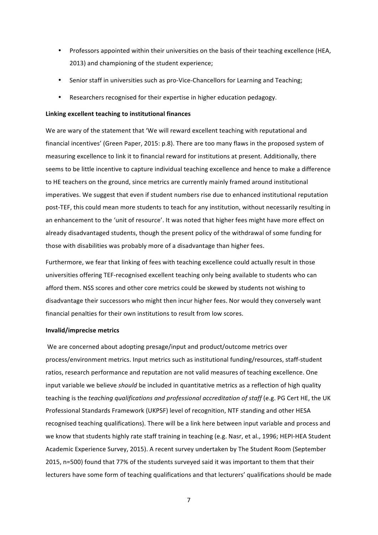- Professors appointed within their universities on the basis of their teaching excellence (HEA, 2013) and championing of the student experience;
- Senior staff in universities such as pro-Vice-Chancellors for Learning and Teaching;
- Researchers recognised for their expertise in higher education pedagogy.

#### **Linking excellent teaching to institutional finances**

We are wary of the statement that 'We will reward excellent teaching with reputational and financial incentives' (Green Paper, 2015: p.8). There are too many flaws in the proposed system of measuring excellence to link it to financial reward for institutions at present. Additionally, there seems to be little incentive to capture individual teaching excellence and hence to make a difference to HE teachers on the ground, since metrics are currently mainly framed around institutional imperatives. We suggest that even if student numbers rise due to enhanced institutional reputation post-TEF, this could mean more students to teach for any institution, without necessarily resulting in an enhancement to the 'unit of resource'. It was noted that higher fees might have more effect on already disadvantaged students, though the present policy of the withdrawal of some funding for those with disabilities was probably more of a disadvantage than higher fees.

Furthermore, we fear that linking of fees with teaching excellence could actually result in those universities offering TEF-recognised excellent teaching only being available to students who can afford them. NSS scores and other core metrics could be skewed by students not wishing to disadvantage their successors who might then incur higher fees. Nor would they conversely want financial penalties for their own institutions to result from low scores.

#### **Invalid/imprecise metrics**

We are concerned about adopting presage/input and product/outcome metrics over process/environment metrics. Input metrics such as institutional funding/resources, staff-student ratios, research performance and reputation are not valid measures of teaching excellence. One input variable we believe *should* be included in quantitative metrics as a reflection of high quality teaching is the *teaching qualifications and professional accreditation of staff* (e.g. PG Cert HE, the UK Professional Standards Framework (UKPSF) level of recognition, NTF standing and other HESA recognised teaching qualifications). There will be a link here between input variable and process and we know that students highly rate staff training in teaching (e.g. Nasr, et al., 1996; HEPI-HEA Student Academic Experience Survey, 2015). A recent survey undertaken by The Student Room (September 2015, n=500) found that 77% of the students surveyed said it was important to them that their lecturers have some form of teaching qualifications and that lecturers' qualifications should be made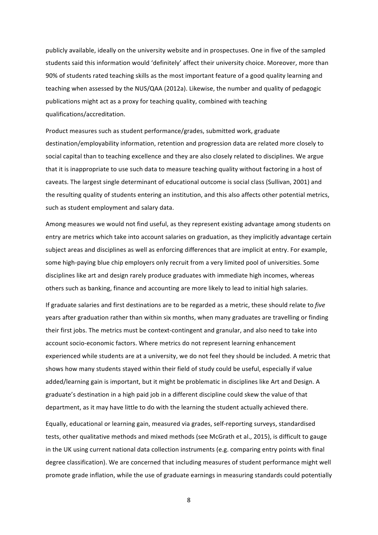publicly available, ideally on the university website and in prospectuses. One in five of the sampled students said this information would 'definitely' affect their university choice. Moreover, more than 90% of students rated teaching skills as the most important feature of a good quality learning and teaching when assessed by the NUS/QAA (2012a). Likewise, the number and quality of pedagogic publications might act as a proxy for teaching quality, combined with teaching qualifications/accreditation.

Product measures such as student performance/grades, submitted work, graduate destination/employability information, retention and progression data are related more closely to social capital than to teaching excellence and they are also closely related to disciplines. We argue that it is inappropriate to use such data to measure teaching quality without factoring in a host of caveats. The largest single determinant of educational outcome is social class (Sullivan, 2001) and the resulting quality of students entering an institution, and this also affects other potential metrics, such as student employment and salary data.

Among measures we would not find useful, as they represent existing advantage among students on entry are metrics which take into account salaries on graduation, as they implicitly advantage certain subject areas and disciplines as well as enforcing differences that are implicit at entry. For example, some high-paying blue chip employers only recruit from a very limited pool of universities. Some disciplines like art and design rarely produce graduates with immediate high incomes, whereas others such as banking, finance and accounting are more likely to lead to initial high salaries.

If graduate salaries and first destinations are to be regarded as a metric, these should relate to *five* years after graduation rather than within six months, when many graduates are travelling or finding their first jobs. The metrics must be context-contingent and granular, and also need to take into account socio-economic factors. Where metrics do not represent learning enhancement experienced while students are at a university, we do not feel they should be included. A metric that shows how many students stayed within their field of study could be useful, especially if value added/learning gain is important, but it might be problematic in disciplines like Art and Design. A graduate's destination in a high paid job in a different discipline could skew the value of that department, as it may have little to do with the learning the student actually achieved there.

Equally, educational or learning gain, measured via grades, self-reporting surveys, standardised tests, other qualitative methods and mixed methods (see McGrath et al., 2015), is difficult to gauge in the UK using current national data collection instruments (e.g. comparing entry points with final degree classification). We are concerned that including measures of student performance might well promote grade inflation, while the use of graduate earnings in measuring standards could potentially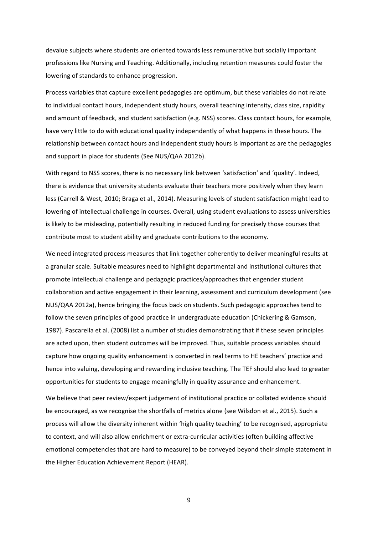devalue subjects where students are oriented towards less remunerative but socially important professions like Nursing and Teaching. Additionally, including retention measures could foster the lowering of standards to enhance progression.

Process variables that capture excellent pedagogies are optimum, but these variables do not relate to individual contact hours, independent study hours, overall teaching intensity, class size, rapidity and amount of feedback, and student satisfaction (e.g. NSS) scores. Class contact hours, for example, have very little to do with educational quality independently of what happens in these hours. The relationship between contact hours and independent study hours is important as are the pedagogies and support in place for students (See NUS/QAA 2012b).

With regard to NSS scores, there is no necessary link between 'satisfaction' and 'quality'. Indeed, there is evidence that university students evaluate their teachers more positively when they learn less (Carrell & West, 2010; Braga et al., 2014). Measuring levels of student satisfaction might lead to lowering of intellectual challenge in courses. Overall, using student evaluations to assess universities is likely to be misleading, potentially resulting in reduced funding for precisely those courses that contribute most to student ability and graduate contributions to the economy.

We need integrated process measures that link together coherently to deliver meaningful results at a granular scale. Suitable measures need to highlight departmental and institutional cultures that promote intellectual challenge and pedagogic practices/approaches that engender student collaboration and active engagement in their learning, assessment and curriculum development (see NUS/QAA 2012a), hence bringing the focus back on students. Such pedagogic approaches tend to follow the seven principles of good practice in undergraduate education (Chickering & Gamson, 1987). Pascarella et al. (2008) list a number of studies demonstrating that if these seven principles are acted upon, then student outcomes will be improved. Thus, suitable process variables should capture how ongoing quality enhancement is converted in real terms to HE teachers' practice and hence into valuing, developing and rewarding inclusive teaching. The TEF should also lead to greater opportunities for students to engage meaningfully in quality assurance and enhancement.

We believe that peer review/expert judgement of institutional practice or collated evidence should be encouraged, as we recognise the shortfalls of metrics alone (see Wilsdon et al., 2015). Such a process will allow the diversity inherent within 'high quality teaching' to be recognised, appropriate to context, and will also allow enrichment or extra-curricular activities (often building affective emotional competencies that are hard to measure) to be conveyed beyond their simple statement in the Higher Education Achievement Report (HEAR).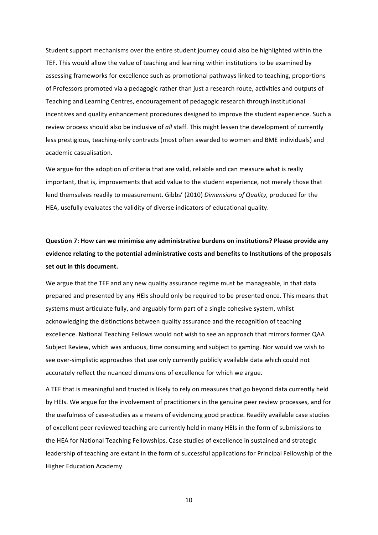Student support mechanisms over the entire student journey could also be highlighted within the TEF. This would allow the value of teaching and learning within institutions to be examined by assessing frameworks for excellence such as promotional pathways linked to teaching, proportions of Professors promoted via a pedagogic rather than just a research route, activities and outputs of Teaching and Learning Centres, encouragement of pedagogic research through institutional incentives and quality enhancement procedures designed to improve the student experience. Such a review process should also be inclusive of *all* staff. This might lessen the development of currently less prestigious, teaching-only contracts (most often awarded to women and BME individuals) and academic casualisation.

We argue for the adoption of criteria that are valid, reliable and can measure what is really important, that is, improvements that add value to the student experience, not merely those that lend themselves readily to measurement. Gibbs' (2010) *Dimensions of Quality,* produced for the HEA, usefully evaluates the validity of diverse indicators of educational quality.

# **Question 7: How can we minimise any administrative burdens on institutions? Please provide any** evidence relating to the potential administrative costs and benefits to Institutions of the proposals set out in this document.

We argue that the TEF and any new quality assurance regime must be manageable, in that data prepared and presented by any HEIs should only be required to be presented once. This means that systems must articulate fully, and arguably form part of a single cohesive system, whilst acknowledging the distinctions between quality assurance and the recognition of teaching excellence. National Teaching Fellows would not wish to see an approach that mirrors former QAA Subject Review, which was arduous, time consuming and subject to gaming. Nor would we wish to see over-simplistic approaches that use only currently publicly available data which could not accurately reflect the nuanced dimensions of excellence for which we argue.

A TEF that is meaningful and trusted is likely to rely on measures that go beyond data currently held by HEIs. We argue for the involvement of practitioners in the genuine peer review processes, and for the usefulness of case-studies as a means of evidencing good practice. Readily available case studies of excellent peer reviewed teaching are currently held in many HEIs in the form of submissions to the HEA for National Teaching Fellowships. Case studies of excellence in sustained and strategic leadership of teaching are extant in the form of successful applications for Principal Fellowship of the Higher Education Academy.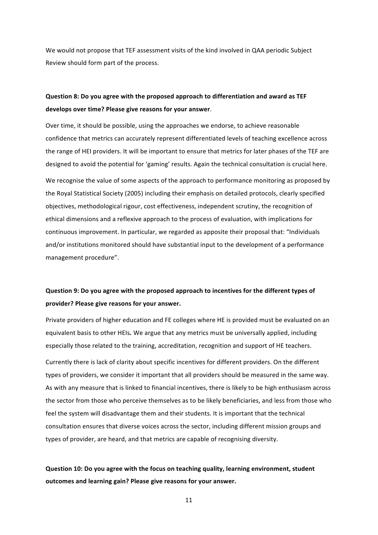We would not propose that TEF assessment visits of the kind involved in QAA periodic Subject Review should form part of the process.

### **Question 8: Do you agree with the proposed approach to differentiation and award as TEF** develops over time? Please give reasons for your answer.

Over time, it should be possible, using the approaches we endorse, to achieve reasonable confidence that metrics can accurately represent differentiated levels of teaching excellence across the range of HEI providers. It will be important to ensure that metrics for later phases of the TEF are designed to avoid the potential for 'gaming' results. Again the technical consultation is crucial here.

We recognise the value of some aspects of the approach to performance monitoring as proposed by the Royal Statistical Society (2005) including their emphasis on detailed protocols, clearly specified objectives, methodological rigour, cost effectiveness, independent scrutiny, the recognition of ethical dimensions and a reflexive approach to the process of evaluation, with implications for continuous improvement. In particular, we regarded as apposite their proposal that: "Individuals and/or institutions monitored should have substantial input to the development of a performance management procedure".

## Question 9: Do you agree with the proposed approach to incentives for the different types of provider? Please give reasons for your answer.

Private providers of higher education and FE colleges where HE is provided must be evaluated on an equivalent basis to other HEIs. We argue that any metrics must be universally applied, including especially those related to the training, accreditation, recognition and support of HE teachers.

Currently there is lack of clarity about specific incentives for different providers. On the different types of providers, we consider it important that all providers should be measured in the same way. As with any measure that is linked to financial incentives, there is likely to be high enthusiasm across the sector from those who perceive themselves as to be likely beneficiaries, and less from those who feel the system will disadvantage them and their students. It is important that the technical consultation ensures that diverse voices across the sector, including different mission groups and types of provider, are heard, and that metrics are capable of recognising diversity.

### **Question 10: Do you agree with the focus on teaching quality, learning environment, student** outcomes and learning gain? Please give reasons for your answer.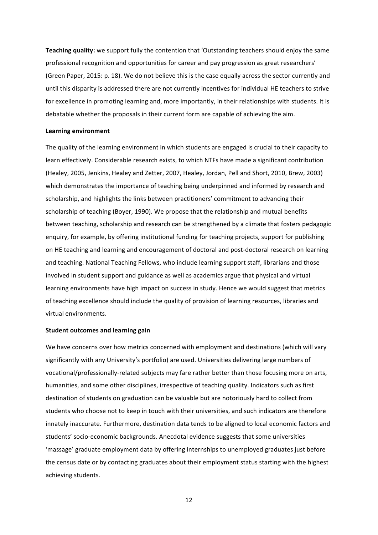**Teaching quality:** we support fully the contention that 'Outstanding teachers should enjoy the same professional recognition and opportunities for career and pay progression as great researchers' (Green Paper, 2015: p. 18). We do not believe this is the case equally across the sector currently and until this disparity is addressed there are not currently incentives for individual HE teachers to strive for excellence in promoting learning and, more importantly, in their relationships with students. It is debatable whether the proposals in their current form are capable of achieving the aim.

#### **Learning environment**

The quality of the learning environment in which students are engaged is crucial to their capacity to learn effectively. Considerable research exists, to which NTFs have made a significant contribution (Healey, 2005, Jenkins, Healey and Zetter, 2007, Healey, Jordan, Pell and Short, 2010, Brew, 2003) which demonstrates the importance of teaching being underpinned and informed by research and scholarship, and highlights the links between practitioners' commitment to advancing their scholarship of teaching (Boyer, 1990). We propose that the relationship and mutual benefits between teaching, scholarship and research can be strengthened by a climate that fosters pedagogic enquiry, for example, by offering institutional funding for teaching projects, support for publishing on HE teaching and learning and encouragement of doctoral and post-doctoral research on learning and teaching. National Teaching Fellows, who include learning support staff, librarians and those involved in student support and guidance as well as academics argue that physical and virtual learning environments have high impact on success in study. Hence we would suggest that metrics of teaching excellence should include the quality of provision of learning resources, libraries and virtual environments.

#### **Student outcomes and learning gain**

We have concerns over how metrics concerned with employment and destinations (which will vary significantly with any University's portfolio) are used. Universities delivering large numbers of vocational/professionally-related subjects may fare rather better than those focusing more on arts, humanities, and some other disciplines, irrespective of teaching quality. Indicators such as first destination of students on graduation can be valuable but are notoriously hard to collect from students who choose not to keep in touch with their universities, and such indicators are therefore innately inaccurate. Furthermore, destination data tends to be aligned to local economic factors and students' socio-economic backgrounds. Anecdotal evidence suggests that some universities 'massage' graduate employment data by offering internships to unemployed graduates just before the census date or by contacting graduates about their employment status starting with the highest achieving students.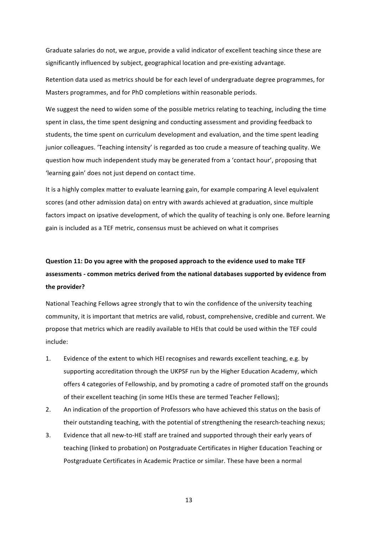Graduate salaries do not, we argue, provide a valid indicator of excellent teaching since these are significantly influenced by subject, geographical location and pre-existing advantage.

Retention data used as metrics should be for each level of undergraduate degree programmes, for Masters programmes, and for PhD completions within reasonable periods.

We suggest the need to widen some of the possible metrics relating to teaching, including the time spent in class, the time spent designing and conducting assessment and providing feedback to students, the time spent on curriculum development and evaluation, and the time spent leading junior colleagues. 'Teaching intensity' is regarded as too crude a measure of teaching quality. We question how much independent study may be generated from a 'contact hour', proposing that 'learning gain' does not just depend on contact time.

It is a highly complex matter to evaluate learning gain, for example comparing A level equivalent scores (and other admission data) on entry with awards achieved at graduation, since multiple factors impact on ipsative development, of which the quality of teaching is only one. Before learning gain is included as a TEF metric, consensus must be achieved on what it comprises

# Question 11: Do you agree with the proposed approach to the evidence used to make TEF assessments - common metrics derived from the national databases supported by evidence from the provider?

National Teaching Fellows agree strongly that to win the confidence of the university teaching community, it is important that metrics are valid, robust, comprehensive, credible and current. We propose that metrics which are readily available to HEIs that could be used within the TEF could include:

- 1. Evidence of the extent to which HEI recognises and rewards excellent teaching, e.g. by supporting accreditation through the UKPSF run by the Higher Education Academy, which offers 4 categories of Fellowship, and by promoting a cadre of promoted staff on the grounds of their excellent teaching (in some HEIs these are termed Teacher Fellows);
- 2. An indication of the proportion of Professors who have achieved this status on the basis of their outstanding teaching, with the potential of strengthening the research-teaching nexus;
- 3. Evidence that all new-to-HE staff are trained and supported through their early vears of teaching (linked to probation) on Postgraduate Certificates in Higher Education Teaching or Postgraduate Certificates in Academic Practice or similar. These have been a normal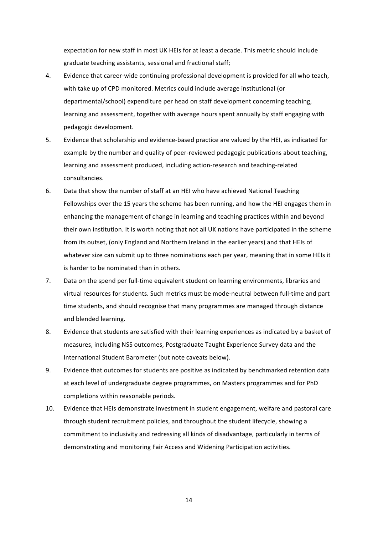expectation for new staff in most UK HEIs for at least a decade. This metric should include graduate teaching assistants, sessional and fractional staff;

- 4. Evidence that career-wide continuing professional development is provided for all who teach, with take up of CPD monitored. Metrics could include average institutional (or departmental/school) expenditure per head on staff development concerning teaching, learning and assessment, together with average hours spent annually by staff engaging with pedagogic development.
- 5. Evidence that scholarship and evidence-based practice are valued by the HEI, as indicated for example by the number and quality of peer-reviewed pedagogic publications about teaching, learning and assessment produced, including action-research and teaching-related consultancies.
- 6. Data that show the number of staff at an HEI who have achieved National Teaching Fellowships over the 15 years the scheme has been running, and how the HEI engages them in enhancing the management of change in learning and teaching practices within and beyond their own institution. It is worth noting that not all UK nations have participated in the scheme from its outset, (only England and Northern Ireland in the earlier years) and that HEIs of whatever size can submit up to three nominations each per year, meaning that in some HEIs it is harder to be nominated than in others.
- 7. Data on the spend per full-time equivalent student on learning environments, libraries and virtual resources for students. Such metrics must be mode-neutral between full-time and part time students, and should recognise that many programmes are managed through distance and blended learning.
- 8. Evidence that students are satisfied with their learning experiences as indicated by a basket of measures, including NSS outcomes, Postgraduate Taught Experience Survey data and the International Student Barometer (but note caveats below).
- 9. Evidence that outcomes for students are positive as indicated by benchmarked retention data at each level of undergraduate degree programmes, on Masters programmes and for PhD completions within reasonable periods.
- 10. Evidence that HEIs demonstrate investment in student engagement, welfare and pastoral care through student recruitment policies, and throughout the student lifecycle, showing a commitment to inclusivity and redressing all kinds of disadvantage, particularly in terms of demonstrating and monitoring Fair Access and Widening Participation activities.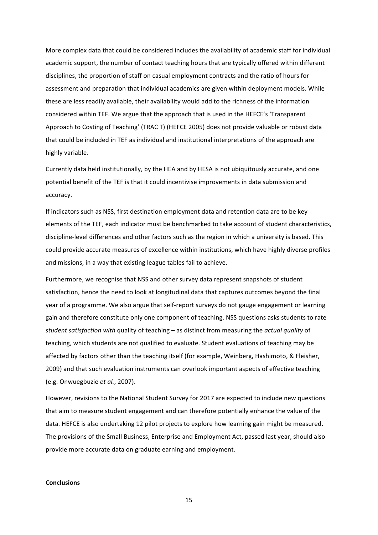More complex data that could be considered includes the availability of academic staff for individual academic support, the number of contact teaching hours that are typically offered within different disciplines, the proportion of staff on casual employment contracts and the ratio of hours for assessment and preparation that individual academics are given within deployment models. While these are less readily available, their availability would add to the richness of the information considered within TEF. We argue that the approach that is used in the HEFCE's 'Transparent Approach to Costing of Teaching' (TRAC T) (HEFCE 2005) does not provide valuable or robust data that could be included in TEF as individual and institutional interpretations of the approach are highly variable.

Currently data held institutionally, by the HEA and by HESA is not ubiquitously accurate, and one potential benefit of the TEF is that it could incentivise improvements in data submission and accuracy. 

If indicators such as NSS, first destination employment data and retention data are to be key elements of the TEF, each indicator must be benchmarked to take account of student characteristics, discipline-level differences and other factors such as the region in which a university is based. This could provide accurate measures of excellence within institutions, which have highly diverse profiles and missions, in a way that existing league tables fail to achieve.

Furthermore, we recognise that NSS and other survey data represent snapshots of student satisfaction, hence the need to look at longitudinal data that captures outcomes beyond the final year of a programme. We also argue that self-report surveys do not gauge engagement or learning gain and therefore constitute only one component of teaching. NSS questions asks students to rate student satisfaction with quality of teaching – as distinct from measuring the *actual quality* of teaching, which students are not qualified to evaluate. Student evaluations of teaching may be affected by factors other than the teaching itself (for example, Weinberg, Hashimoto, & Fleisher, 2009) and that such evaluation instruments can overlook important aspects of effective teaching (e.g. Onwuegbuzie *et al.*, 2007).

However, revisions to the National Student Survey for 2017 are expected to include new questions that aim to measure student engagement and can therefore potentially enhance the value of the data. HEFCE is also undertaking 12 pilot projects to explore how learning gain might be measured. The provisions of the Small Business, Enterprise and Employment Act, passed last year, should also provide more accurate data on graduate earning and employment.

#### **Conclusions**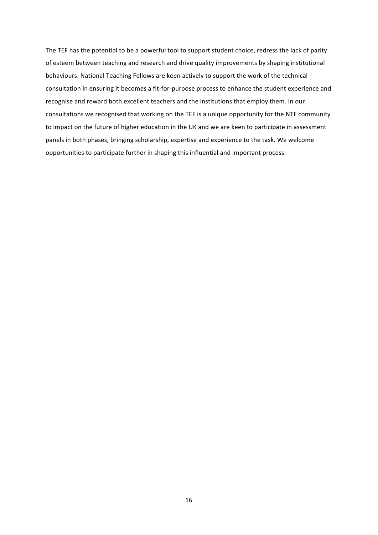The TEF has the potential to be a powerful tool to support student choice, redress the lack of parity of esteem between teaching and research and drive quality improvements by shaping institutional behaviours. National Teaching Fellows are keen actively to support the work of the technical consultation in ensuring it becomes a fit-for-purpose process to enhance the student experience and recognise and reward both excellent teachers and the institutions that employ them. In our consultations we recognised that working on the TEF is a unique opportunity for the NTF community to impact on the future of higher education in the UK and we are keen to participate in assessment panels in both phases, bringing scholarship, expertise and experience to the task. We welcome opportunities to participate further in shaping this influential and important process.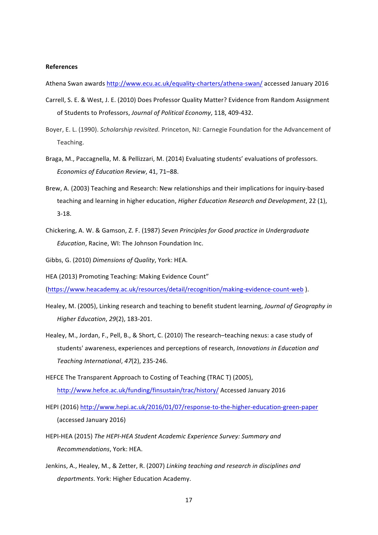#### **References**

Athena Swan awards http://www.ecu.ac.uk/equality-charters/athena-swan/ accessed January 2016

- Carrell, S. E. & West, J. E. (2010) Does Professor Quality Matter? Evidence from Random Assignment of Students to Professors, Journal of Political Economy, 118, 409-432.
- Boyer, E. L. (1990). *Scholarship revisited.* Princeton, NJ: Carnegie Foundation for the Advancement of Teaching.
- Braga, M., Paccagnella, M. & Pellizzari, M. (2014) Evaluating students' evaluations of professors. *Economics of Education Review*, 41, 71–88.
- Brew, A. (2003) Teaching and Research: New relationships and their implications for inquiry-based teaching and learning in higher education, *Higher Education Research and Development*, 22 (1), 3-18.
- Chickering, A. W. & Gamson, Z. F. (1987) Seven Principles for Good practice in Undergraduate *Education*, Racine, WI: The Johnson Foundation Inc.
- Gibbs, G. (2010) *Dimensions of Quality*, York: HEA.
- HEA (2013) Promoting Teaching: Making Evidence Count"

(https://www.heacademy.ac.uk/resources/detail/recognition/making-evidence-count-web ). 

- Healey, M. (2005), Linking research and teaching to benefit student learning, *Journal of Geography in Higher Education*, *29*(2), 183-201.
- Healey, M., Jordan, F., Pell, B., & Short, C. (2010) The research–teaching nexus: a case study of students' awareness, experiences and perceptions of research, *Innovations in Education and* Teaching International, 47(2), 235-246.
- HEFCE The Transparent Approach to Costing of Teaching (TRAC T) (2005), http://www.hefce.ac.uk/funding/finsustain/trac/history/ Accessed January 2016
- HEPI (2016) http://www.hepi.ac.uk/2016/01/07/response-to-the-higher-education-green-paper (accessed January 2016)
- HEPI-HEA (2015) The HEPI-HEA Student Academic Experience Survey: Summary and *Recommendations*, York: HEA.
- Jenkins, A., Healey, M., & Zetter, R. (2007) *Linking teaching and research in disciplines and* departments. York: Higher Education Academy.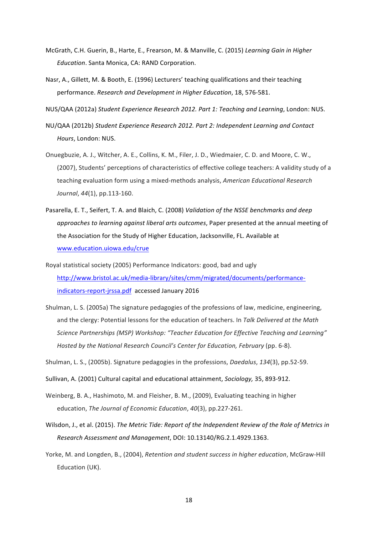- McGrath, C.H. Guerin, B., Harte, E., Frearson, M. & Manville, C. (2015) *Learning Gain in Higher Education*. Santa Monica, CA: RAND Corporation.
- Nasr, A., Gillett, M. & Booth, E. (1996) Lecturers' teaching qualifications and their teaching performance. *Research and Development in Higher Education*, 18, 576-581.
- NUS/QAA (2012a) Student Experience Research 2012. Part 1: Teaching and Learning, London: NUS.
- NU/QAA (2012b) Student Experience Research 2012. Part 2: Independent Learning and Contact *Hours*, London: NUS.
- Onuegbuzie, A. J., Witcher, A. E., Collins, K. M., Filer, J. D., Wiedmaier, C. D. and Moore, C. W., (2007), Students' perceptions of characteristics of effective college teachers: A validity study of a teaching evaluation form using a mixed-methods analysis, *American Educational Research Journal*,  $44(1)$ , pp.113-160.
- Pasarella, E. T., Seifert, T. A. and Blaich, C. (2008) *Validation of the NSSE benchmarks and deep approaches to learning against liberal arts outcomes*, Paper presented at the annual meeting of the Association for the Study of Higher Education, Jacksonville, FL. Available at www.education.uiowa.edu/crue
- Royal statistical society (2005) Performance Indicators: good, bad and ugly http://www.bristol.ac.uk/media-library/sites/cmm/migrated/documents/performanceindicators-report-jrssa.pdf accessed January 2016
- Shulman, L. S. (2005a) The signature pedagogies of the professions of law, medicine, engineering, and the clergy: Potential lessons for the education of teachers. In Talk Delivered at the Math Science Partnerships (MSP) Workshop: "Teacher Education for Effective Teaching and Learning" *Hosted by the National Research Council's Center for Education, February* (pp. 6-8).
- Shulman, L. S., (2005b). Signature pedagogies in the professions, *Daedalus*, 134(3), pp.52-59.
- Sullivan, A. (2001) Cultural capital and educational attainment, *Sociology*, 35, 893-912.
- Weinberg, B. A., Hashimoto, M. and Fleisher, B. M., (2009), Evaluating teaching in higher education, *The Journal of Economic Education*, 40(3), pp.227-261.
- Wilsdon, J., et al. (2015). *The Metric Tide: Report of the Independent Review of the Role of Metrics in Research Assessment and Management*, DOI: 10.13140/RG.2.1.4929.1363.
- Yorke, M. and Longden, B., (2004), *Retention and student success in higher education*, McGraw-Hill Education (UK).